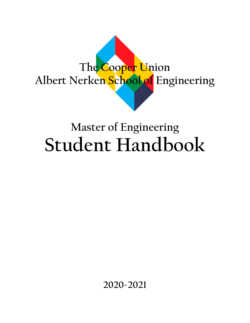

# **Master of Engineering Student Handbook**

**2020-2021**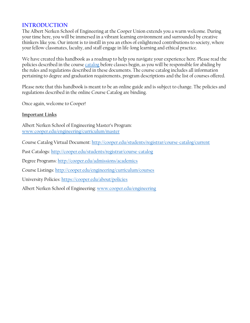### **INTRODUCTION**

The Albert Nerken School of Engineering at the Cooper Union extends you a warm welcome. During your time here, you will be immersed in a vibrant learning environment and surrounded by creative thinkers like you. Our intent is to instill in you an ethos of enlightened contributions to society, where your fellow classmates, faculty, and staff engage in life-long learning and ethical practice.

We have created this handbook as a roadmap to help you navigate your experience here. Please read the policies described in the course [catalog](http://www.cooper.edu/students/registrar/course-catalog/current) before classes begin, as you will be responsible for abiding by the rules and regulations described in these documents. The course catalog includes all information pertaining to degree and graduation requirements, program descriptions and the list of courses offered.

Please note that this handbook is meant to be an online guide and is subject to change. The policies and regulations described in the online Course Catalog are binding.

Once again, welcome to Cooper!

#### **Important Links**

Albert Nerken School of Engineering Master's Program: [www.cooper.edu/engineering/curriculum/master](http://www.cooper.edu/engineering/curriculum/master)

Course Catalog Virtual Document:<http://cooper.edu/students/registrar/course-catalog/current>

Past Catalogs:<http://cooper.edu/students/registrar/course-catalog>

Degree Programs[: http://cooper.edu/admissions/academics](http://cooper.edu/admissions/academics)

Course Listings:<http://cooper.edu/engineering/curriculum/courses>

University Policies[: https://cooper.edu/about/policies](https://cooper.edu/about/policies)

Albert Nerken School of Engineering: [www.cooper.edu/engineering](http://www.cooper.edu/engineering)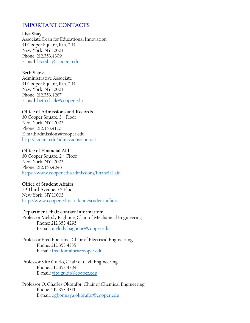### **IMPORTANT CONTACTS**

**Lisa Shay** Associate Dean for Educational Innovation 41 Cooper Square, Rm, 204 New York, NY 10003 Phone: 212.353.4309 E-mail: [lisa.shay@cooper.edu](mailto:lisa.shay@cooper.edu)

#### **Beth Slack**

Administrative Associate 41 Cooper Square, Rm. 204 New York, NY 10003 Phone: 212.353.4287 E-mail: [beth.slack@cooper.edu](mailto:beth.slack@cooper.edu)

#### **Office of Admissions and Records**

30 Cooper Square, 3rd Floor New York, NY 10003 Phone: 212.353.4120 E-mail: admissions@cooper.edu <http://cooper.edu/admissions/contact>

#### **Office of Financial Aid**

30 Cooper Square, 2nd Floor New York, NY 10003 Phone: 212.353.4043 <https://www.cooper.edu/admissions/financial-aid>

#### **Office of Student Affairs**

29 Third Avenue, 3rd Floor New York, NY 10003 <http://www.cooper.edu/students/student-affairs>

**Department chair contact information:** Professor Melody Baglione, Chair of Mechanical Engineering Phone: 212.353.4295

E-mail: [melody.baglione@cooper.edu](mailto:melody.baglione@cooper.edu)

Professor Fred Fontaine, Chair of Electrical Engineering Phone: 212.353.4335 E-mail: [fred.fontaine@cooper.edu](mailto:fred.fontaine@cooper.edu)

Professor Vito Guido, Chair of Civil Engineering Phone: 212.353.4304 E-mail: [vito.guido@cooper.edu](mailto:vito.guido@cooper.edu)

Professor O. Charles Okorafor, Chair of Chemical Engineering Phone: 212.353.4371 E-mail: [ogbonnaya.okorafor@cooper.edu](mailto:ogbonnaya.okorafor@cooper.edu)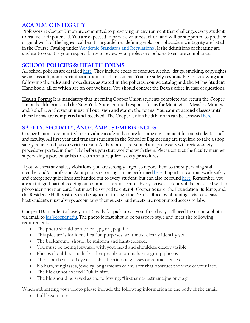# **ACADEMIC INTEGRITY**

Professors at Cooper Union are committed to preserving an environment that challenges every student to realize their potential. You are expected to provide your best effort and will be supported to produce original work of the highest caliber. Firm guidelines defining violations of academic integrity are listed in the Course Catalog under ['Academic Standards](http://cooper.edu/engineering/curriculum/academic-standards-regulations) and Regulations'. If the definitions of cheating are unclear to you, it is your responsibility to review your professor's policies to ensure compliance.

#### **SCHOOL POLICIES & HEALTH FORMS**

All school policies are detaile[d here.](http://cooper.edu/about/policies) They include codes of conduct, alcohol, drugs, smoking, copyrights, sexual assault, non-discrimination, and anti-harassment. **You are solely responsible for knowing and following the rules and procedures as stated in the policies, course catalog and the MEng Student Handbook, all of which are on our website**. You should contact the Dean's office in case of questions.

**Health Forms:** It is mandatory that incoming Cooper Union students complete and return the Cooper Union health forms and the New York State required response forms for Meningitis, Measles, Mumps and Rubella. **A physician must fill out, sign and stamp the forms. You cannot attend classes until these forms are completed and received.** The Cooper Union health forms can be accessed [here.](http://cooper.edu/students/student-affairs/health/health-forms)

#### **SAFETY, SECURITY, AND CAMPUS EMERGENCIES**

Cooper Union is committed to providing a safe and secure learning environment for our students, staff, and faculty. All first year and transfer students in the School of Engineering are required to take a shop safety course and pass a written exam. All laboratory personnel and professors will review safety procedures posted in their labs before you start working with them. Please contact the faculty member supervising a particular lab to learn about required safety procedures.

If you witness any safety violations, you are strongly urged to report them to the supervising staff member and/or professor. Anonymous reporting can be performed [here.](https://safety.cooper.edu/) Important campus-wide safety and emergency guidelines are handed out to every student, but can also be found [here.](http://cooper.edu/students/safety) Remember, you are an integral part of keeping our campus safe and secure. Every active student will be provided with a photo identification card that must be swiped to enter 41 Cooper Square, the Foundation Building, and the Residence Hall. Visitors can be signed in through the Dean's Office by obtaining a visitor's pass; host students must always accompany their guests, and guests are not granted access to labs.

**Cooper ID:** In order to have your ID ready for pick-up on your first day, you'll need to submit a photo via email to [ids@cooper.edu.](mailto:ids@cooper.edu) The photo format should be passport-style and meet the following requirements:

- The photo should be a color, .jpg or .jpeg file.
- This picture is for identification purposes, so it must clearly identify you.
- The background should be uniform and light-colored.
- You must be facing forward, with your head and shoulders clearly visible.
- Photos should not include other people or animals  $\sim$  no group photos
- There can be no red eye or flash reflection on glasses or contact lenses.
- No hats, sunglasses, jewelry, or garments of any sort that obstruct the view of your face.
- The file cannot exceed 100k in size.
- The file should be saved as the following: "firstname-lastname.jpg or .jpeg"

When submitting your photo please include the following information in the body of the email:

• Full legal name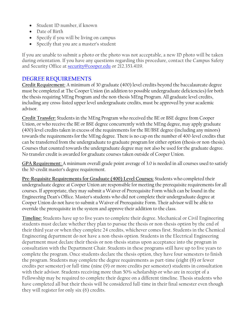- Student ID number, if known
- Date of Birth
- Specify if you will be living on campus
- Specify that you are a master's student

If you are unable to submit a photo or the photo was not acceptable, a new ID photo will be taken during orientation. If you have any questions regarding this procedure, contact the Campus Safety and Security Office at [security@cooper.edu](mailto:security@cooper.edu) or 212.353.4119.

# **DEGREE REQUIREMENTS**

**Credit Requirement:** A minimum of 30 graduate (400) level credits beyond the baccalaureate degree must be completed at The Cooper Union (in addition to possible undergraduate deficiencies) for both the thesis requiring MEng Program and the non-thesis MEng Program. All graduate level credits, including any cross-listed upper level undergraduate credits, must be approved by your academic advisor.

**Credit Transfer:** Students in the MEng Program who received the BE or BSE degree from Cooper Union, or who receive the BE or BSE degree concurrently with the MEng degree, may apply graduate (400) level credits taken in excess of the requirements for the BE/BSE degree (including any minors) towards the requirements for the MEng degree. There is no cap on the number of 400-level credits that can be transferred from the undergraduate to graduate program for either option (thesis or non-thesis). Courses that counted towards the undergraduate degree may not also be used for the graduate degree. No transfer credit is awarded for graduate courses taken outside of Cooper Union.

**GPA Requirement:** A minimum overall grade point average of 3.0 is needed in all courses used to satisfy the 30-credit master's degree requirement.

**Pre-Requisite Requirements for Graduate (400) Level Courses:** Students who completed their undergraduate degree at Cooper Union are responsible for meeting the prerequisite requirements for all courses. If appropriate, they may submit a Waiver of Prerequisite Form which can be found in the Engineering Dean's Office. Master's students who did not complete their undergraduate degree at Cooper Union do not have to submit a Waiver of Prerequisite Form. Their advisor will be able to override the prerequisite in the system and approve their addition to the class.

**Timeline:** Students have up to five years to complete their degree. Mechanical or Civil Engineering students must declare whether they plan to pursue the thesis or non-thesis option by the end of their third year or when they complete 24 credits, whichever comes first. Students in the Chemical Engineering department do not have a non-thesis option. Students in the Electrical Engineering department must declare their thesis or non-thesis status upon acceptance into the program in consultation with the Department Chair. Students in these programs still have up to five years to complete the program. Once students declare the thesis option, they have four semesters to finish the program. Students may complete the degree requirements as part-time (eight (8) or fewer credits per semester) or full-time (nine (9) or more credits per semester) students in consultation with their advisor. Students receiving more than 50% scholarship or who are in receipt of a Fellowship may be required to complete their degree on a different timeline. Thesis students who have completed all but their thesis will be considered full-time in their final semester even though they will register for only six (6) credits.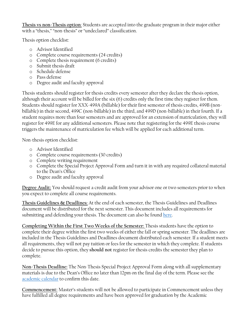**Thesis vs non-Thesis option**: Students are accepted into the graduate program in their major either with a "thesis," "non-thesis" or "undeclared" classification.

Thesis option checklist:

- o Advisor Identified
- o Complete course requirements (24 credits)
- o Complete thesis requirement (6 credits)
- o Submit thesis draft
- o Schedule defense
- o Pass defense
- o Degree audit and faculty approval

Thesis students should register for thesis credits every semester after they declare the thesis option, although their account will be billed for the six (6) credits only the first time they register for them. Students should register for XXX-499A (billable) for their first semester of thesis credits, 499B (nonbillable) in their second, 499C (non-billable) in the third, and 499D (non-billable) in their fourth. If a student requires more than four semesters and are approved for an extension of matriculation, they will register for 499E for any additional semesters. Please note that registering for the 499E thesis course triggers the maintenance of matriculation fee which will be applied for each additional term.

Non-thesis option checklist:

- o Advisor Identified
- o Complete course requirements (30 credits)
- o Complete writing requirement
- o Complete the Special Project Approval Form and turn it in with any required collateral material to the Dean's Office
- o Degree audit and faculty approval

**Degree Audit:** You should request a credit audit from your advisor one or two semesters prior to when you expect to complete all course requirements.

**Thesis Guidelines & Deadlines:** At the end of each semester, the Thesis Guidelines and Deadlines document will be distributed for the next semester. This document includes all requirements for submitting and defending your thesis. The document can also he foun[d here.](http://cooper.edu/engineering/curriculum/master/guidelines-masters-thesis)

**Completing Within the First Two Weeks of the Semester:** Thesis students have the option to complete their degree within the first two weeks of either the fall or spring semester. The deadlines are included in the Thesis Guidelines and Deadlines document distributed each semester. If a student meets all requirements, they will not pay tuition or fees for the semester in which they complete. If students decide to pursue this option, they **should not** register for thesis credits the semester they plan to complete.

**Non-Thesis Deadline:** The Non-Thesis Special Project Approval Form along with all supplementary materials is due to the Dean's Office no later than 12pm on the final day of the term. Please see the [academic calendar](http://cooper.edu/about/academic-calendars) to confirm this date.

**Commencement:** Master's students will not be allowed to participate in Commencement unless they have fulfilled all degree requirements and have been approved for graduation by the Academic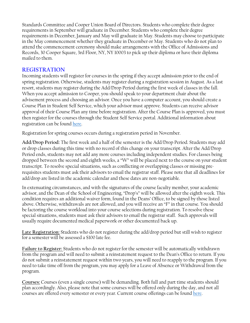Standards Committee and Cooper Union Board of Directors. Students who complete their degree requirements in September will graduate in December. Students who complete their degree requirements in December, January and May will graduate in May. Students may choose to participate in the May commencement whether they graduate in December or May. Students who do not plan to attend the commencement ceremony should make arrangements with the Office of Admissions and Records, 30 Cooper Square, 3rd Floor, NY, NY 10003 to pick up their diploma or have their diploma mailed to them.

## **REGISTRATION**

Incoming students will register for courses in the spring if they accept admission prior to the end of spring registration. Otherwise, students may register during a registration session in August. As a last resort, students may register during the Add/Drop Period during the first week of classes in the fall. When you accept admission to Cooper, you should speak to your department chair about the advisement process and choosing an advisor. Once you have a computer account, you should create a Course Plan in Student Self Service, which your advisor must approve. Students can receive advisor approval of their Course Plan any time before registration. After the Course Plan is approved, you must then register for the courses through the Student Self Service portal. Additional information about registration can be found [here.](http://cooper.edu/students/registrar/registration)

Registration for spring courses occurs during a registration period in November.

**Add/Drop Period:** The first week and a half of the semester is the Add/Drop Period. Students may add or drop classes during this time with no record of this change on your transcript. After the Add/Drop Period ends, students may not add any more courses including independent studies. For classes being dropped between the second and eighth weeks, a "W" will be placed next to the course on your student transcript. To resolve special situations, such as conflicting or overlapping classes or missing prerequisites students must ask their advisors to email the registrar staff. Please note that all deadlines for add/drop are listed in the academic calendar and these dates are non-negotiable.

In extenuating circumstances, and with the signatures of the course faculty member, your academic advisor, and the Dean of the School of Engineering, "Drop's" will be allowed after the eighth week. This condition requires an additional waiver form, found in the Deans' Office, to be signed by those listed above. Otherwise, withdrawals are not allowed, and you will receive an "F" in that course. You should be factoring the course workload into your course selections during registration. To resolve these special situations, students must ask their advisors to email the registrar staff. Such approvals will usually require documented medical paperwork or other documented back up.

**Late Registration:** Students who do not register during the add/drop period but still wish to register for a semester will be assessed a \$100 late fee.

**Failure to Register:** Students who do not register for the semester will be automatically withdrawn from the program and will need to submit a reinstatement request to the Dean's Office to return. If you do not submit a reinstatement request within two years, you will need to reapply to the program. If you need to take time off from the program, you may apply for a Leave of Absence or Withdrawal from the program.

**Courses:** Courses (even a single course) will be demanding. Both full and part time students should plan accordingly. Also, please note that some courses will be offered only during the day, and not all courses are offered every semester or every year. Current course offerings can be found [here.](http://cooper.edu/engineering/class-schedule)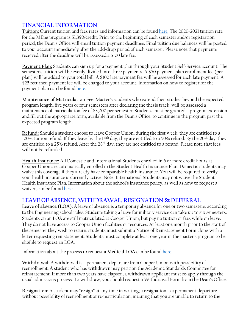# **FINANCIAL INFORMATION**

**Tuition:** Current tuition and fees rates and information can be foun[d here.](http://cooper.edu/admissions/tuition-fees) The 2020-2021 tuition rate for the MEng program is \$1,390/credit. Prior to the beginning of each semester and/or registration period, the Dean's Office will email tuition payment deadlines. Final tuition due balances will be posted to your account immediately after the add/drop period of each semester. Please note that payments received after the deadline will be assessed a \$100 late fee.

**Payment Plan:** Students can sign up for a payment plan through your Student Self-Service account. The semester's tuition will be evenly divided into three payments. A \$50 payment plan enrollment fee (per plan) will be added to your total bill. A \$100 late payment fee will be assessed for each late payment. A \$25 returned payment fee will be charged to your account. Information on how to register for the payment plan can be foun[d here.](https://cooper.edu/admissions/tuition-fees#Tuition/Housing%20Payment%20Plan%20Policy)

**Maintenance of Matriculation Fee:** Master's students who extend their studies beyond the expected program length, five years or four semesters after declaring the thesis track, will be assessed a maintenance of matriculation fee of \$3,000 per semester. Students must be granted a program extension and fill out the appropriate form, available from the Dean's Office, to continue in the program past the expected program length.

**Refund:** Should a student choose to leave Cooper Union, during the first week, they are entitled to a 100% tuition refund. If they leave by the 14th day, they are entitled to a 50% refund. By the 20th day, they are entitled to a 25% refund. After the 28<sup>th</sup> day, they are not entitled to a refund. Please note that fees will not be refunded.

**Health Insurance:** All Domestic and International Students enrolled in 6 or more credit hours at Cooper Union are automatically enrolled in the Student Health Insurance Plan. Domestic students may waive this coverage if they already have comparable health insurance. You will be required to verify your health insurance is currently active. Note: International Students may not waive the Student Health Insurance Plan. Information about the school's insurance policy, as well as how to request a waiver, can be foun[d here.](http://cooper.edu/admissions/tuition-fees#Cooper%20Union%20Health%20Insurance)

#### **LEAVE OF ABSENCE, WITHDRAWAL, RESIGNATION & DEFERRAL**

**Leave of absence (LOA):** A leave of absence is a temporary absence for one or two semesters, according to the Engineering school rules. Students taking a leave for military service can take up to six semesters. Students on an LOA are still matriculated at Cooper Union, but pay no tuition or fees while on leave. They do not have access to Cooper Union facilities or resources. At least one month prior to the start of the semester they wish to return, students must submit a Notice of Reinstatement Form along with a letter requesting reinstatement. Students must complete at least one year in the master's program to be eligible to request an LOA.

Information about the process to request a **Medical LOA** can be foun[d here.](http://cooper.edu/students/student-affairs/health/medical-leave-of-absence)

**Withdrawal:** A withdrawal is a permanent departure from Cooper Union with possibility of reenrollment. A student who has withdrawn may petition the Academic Standards Committee for reinstatement. If more than two years have elapsed, a withdrawn applicant must re-apply through the usual admissions process. To withdraw, you should request a Withdrawal Form from the Dean's Office.

**Resignation:** A student may "resign" at any time in writing; a resignation is a permanent departure without possibility of reenrollment or re-matriculation, meaning that you are unable to return to the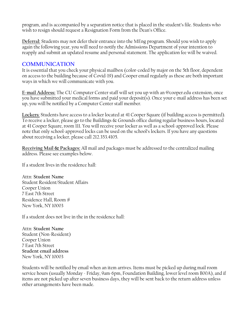program, and is accompanied by a separation notice that is placed in the student's file. Students who wish to resign should request a Resignation Form from the Dean's Office.

**Deferral:** Students may not defer their entrance into the MEng program. Should you wish to apply again the following year, you will need to notify the Admissions Department of your intention to reapply and submit an updated resume and personal statement. The application fee will be waived.

## **COMMUNICATION**

It is essential that you check your physical mailbox (color-coded by major on the 5th floor, dependent on access to the building because of Covid-19) and Cooper email regularly as these are both important ways in which we will communicate with you.

**E-mail Address:** The CU Computer Center staff will set you up with an @cooper.edu extension, once you have submitted your medical forms and paid your deposit(s). Once your e-mail address has been set up, you will be notified by a Computer Center staff member.

**Lockers**: Students have access to a locker located at 41 Cooper Square (if building access is permitted). To receive a locker, please go to the Buildings & Grounds office during regular business hours, located at 41 Cooper Square, room 111. You will receive your locker as well as a school-approved lock. Please note that only school-approved locks can be used on the school's lockers. If you have any questions about receiving a locker, please call 212.353.4105.

**Receiving Mail & Packages:** All mail and packages must be addressed to the centralized mailing address. Please see examples below.

If a student lives in the residence hall:

Attn: **Student Name** Student Resident/Student Affairs Cooper Union 7 East 7th Street Residence Hall, Room **#** New York, NY 10003

If a student does not live in the in the residence hall:

Attn: **Student Name** Student (Non-Resident) Cooper Union 7 East 7th Street **Student email address** New York, NY 10003

Students will be notified by email when an item arrives. Items must be picked up during mail room service hours (usually Monday - Friday, 9am-6pm, Foundation Building, lower level room B00A), and if items are not picked up after seven business days, they will be sent back to the return address unless other arrangements have been made.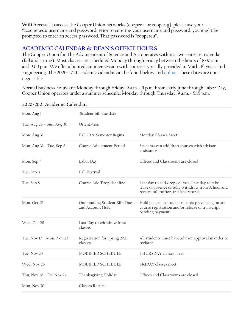**Wifi Access:** To access the Cooper Union networks (cooper-a or cooper-g), please use your @cooper.edu username and password. Prior to entering your username and password, you might be prompted to enter an access password. That password is "coopercu".

## **ACADEMIC CALENDAR & DEAN'S OFFICE HOURS**

The Cooper Union for The Advancement of Science and Art operates within a two semester calendar (fall and spring). Most classes are scheduled Monday through Friday between the hours of 8:00 a.m. and 9:00 p.m. We offer a limited summer session with courses typically provided in Math, Physics, and Engineering. The 2020-2021 academic calendar can be found below and [online.](https://cooper.edu/about/academic-calendars) These dates are nonnegotiable.

Normal business hours are: Monday through Friday, 9 a.m. - 5 p.m. From early June through Labor Day, Cooper Union operates under a summer schedule: Monday through Thursday, 9 a.m. - 5:15 p.m.

| Mon, Aug 1                | Student bill due date                             |                                                                                                                                               |
|---------------------------|---------------------------------------------------|-----------------------------------------------------------------------------------------------------------------------------------------------|
| Tue, Aug 25 - Sun, Aug 30 | Orientation                                       |                                                                                                                                               |
| Mon, Aug 31               | Fall 2020 Semester Begins                         | Monday Classes Meet                                                                                                                           |
| Mon, Aug 31 - Tue, Sep 8  | Course Adjustment Period                          | Students can add/drop courses with advisor<br>assistance                                                                                      |
| Mon, Sep 7                | Labor Day                                         | Offices and Classrooms are closed                                                                                                             |
| Tue, Sep 8                | Fall Festival                                     |                                                                                                                                               |
| Tue, Sep 8                | Course Add/Drop deadline                          | Last day to add/drop courses. Last day to take<br>leave of absence or fully withdraw from School and<br>receive full tuition and fees refund. |
| Mon, Oct 12               | Outstanding Student Bills Due<br>and Account Hold | Hold placed on student records preventing future<br>course registration and/or release of transcript<br>pending payment                       |
| Wed, Oct 28               | Last Day to withdraw from<br>classes              |                                                                                                                                               |
| Tue, Nov 17 - Mon, Nov 23 | Registration for Spring 2021<br>classes           | All students must have advisor approval in order to<br>register                                                                               |
| Tue, Nov 24               | MODIFIED SCHEDULE                                 | THURSDAY classes meet                                                                                                                         |
| Wed, Nov 25               | MODIFIED SCHEDULE                                 | FRIDAY classes meet                                                                                                                           |
| Thu, Nov 26 - Fri, Nov 27 | Thanksgiving Holiday                              | Offices and Classrooms are closed                                                                                                             |
| Mon, Nov 30               | Classes Resume                                    |                                                                                                                                               |

#### **2020-2021 Academic Calendar:**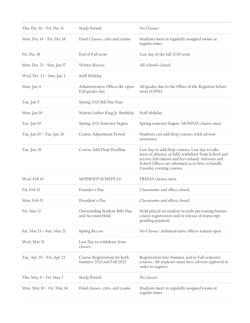| Thu, Dec $10 - Fri$ , Dec $11$ | Study Period                                              | No Classes                                                                                                                                                                                                                                |
|--------------------------------|-----------------------------------------------------------|-------------------------------------------------------------------------------------------------------------------------------------------------------------------------------------------------------------------------------------------|
| Mon, Dec 14 - Fri, Dec 18      | Final Classes, crits and exams                            | Students meet in regularly assigned rooms at<br>regular times                                                                                                                                                                             |
| Fri, Dec 18                    | End of Fall term                                          | Last day of the fall 2020 term                                                                                                                                                                                                            |
| Mon, Dec 21 - Sun, Jan 17      | <b>Winter Recess</b>                                      | All schools closed                                                                                                                                                                                                                        |
| Wed, Dec 23 - Sun, Jan 3       | Staff Holiday                                             |                                                                                                                                                                                                                                           |
| Mon, Jan 4                     | Administrative Offices Re-open<br>Fall grades due         | All grades due to the Office of the Registrar before<br>noon (12PM)                                                                                                                                                                       |
| Tue, Jan 5                     | Spring 2021 Bill Due Date                                 |                                                                                                                                                                                                                                           |
| Mon, Jan 18                    | Martin Luther King Jr. Birthday                           | Staff Holiday                                                                                                                                                                                                                             |
| Tue, Jan 19                    | Spring 2021 Semester begins                               | Spring semester begins. MONDAY classes meet                                                                                                                                                                                               |
| Tue, Jan 19 - Tue, Jan 26      | Course Adjustment Period                                  | Students can add/drop courses with advisor<br>assistance                                                                                                                                                                                  |
| Tue, Jan 26                    | Course Add/Drop Deadline                                  | Last day to add/drop courses. Last day to take<br>leave of absence or fully withdraw from School and<br>receive full tuition and fees refund. Advisors and<br>School Offices are informed as to how to handle<br>Tuesday evening courses. |
| Wed, Feb 10                    | MODIFIED SCHEDULE                                         | FRIDAY classes meet                                                                                                                                                                                                                       |
| Fri, Feb 12                    | Founder's Day                                             | Classrooms and office closed                                                                                                                                                                                                              |
| Mon, Feb 15                    | President's Day                                           | Classrooms and office closed                                                                                                                                                                                                              |
| Fri, Mar 12                    | Outstanding Student Bills Due<br>and Account Hold         | Hold placed on student records preventing fruture<br>course registration and/or release of transcript<br>pending payment                                                                                                                  |
| Sat, Mar 13 - Sun, Mar 21      | <b>Spring Recess</b>                                      | No Classes. Administrative offices remain open                                                                                                                                                                                            |
| Wed, Mar 31                    | Last Day to withdraw from<br>classes                      |                                                                                                                                                                                                                                           |
| Tue, Apr 20 - Fri, Apr 23      | Course Registration for both<br>Summer 2021 and Fall 2021 | Registration into Summer and/or Fall semester<br>courses. All students must have advisor approval in<br>order to register                                                                                                                 |
| Thu, May 6 - Fri, May 7        | Study Period                                              | No classes                                                                                                                                                                                                                                |
| Mon, May 10 - Fri, May 14      | Final classes, crits, and exams                           | Students meet in regularly assigned rooms at<br>regular times                                                                                                                                                                             |